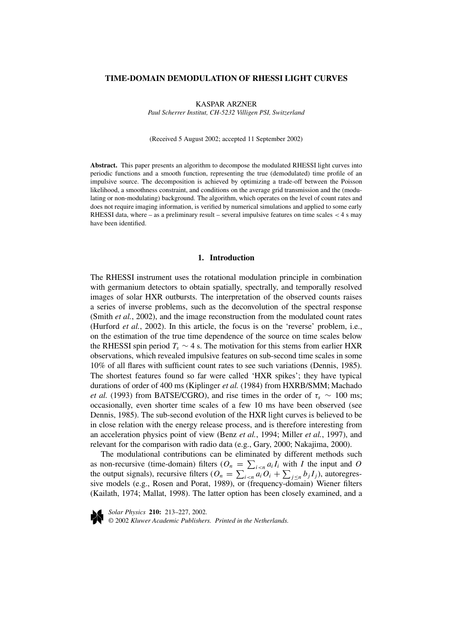# **TIME-DOMAIN DEMODULATION OF RHESSI LIGHT CURVES**

#### KASPAR ARZNER

*Paul Scherrer Institut, CH-5232 Villigen PSI, Switzerland*

(Received 5 August 2002; accepted 11 September 2002)

**Abstract.** This paper presents an algorithm to decompose the modulated RHESSI light curves into periodic functions and a smooth function, representing the true (demodulated) time profile of an impulsive source. The decomposition is achieved by optimizing a trade-off between the Poisson likelihood, a smoothness constraint, and conditions on the average grid transmission and the (modulating or non-modulating) background. The algorithm, which operates on the level of count rates and does not require imaging information, is verified by numerical simulations and applied to some early RHESSI data, where – as a preliminary result – several impulsive features on time scales *<* 4 s may have been identified.

## **1. Introduction**

The RHESSI instrument uses the rotational modulation principle in combination with germanium detectors to obtain spatially, spectrally, and temporally resolved images of solar HXR outbursts. The interpretation of the observed counts raises a series of inverse problems, such as the deconvolution of the spectral response (Smith *et al.*, 2002), and the image reconstruction from the modulated count rates (Hurford *et al.*, 2002). In this article, the focus is on the 'reverse' problem, i.e., on the estimation of the true time dependence of the source on time scales below the RHESSI spin period  $T_s \sim 4$  s. The motivation for this stems from earlier HXR observations, which revealed impulsive features on sub-second time scales in some 10% of all flares with sufficient count rates to see such variations (Dennis, 1985). The shortest features found so far were called 'HXR spikes'; they have typical durations of order of 400 ms (Kiplinger *et al.* (1984) from HXRB/SMM; Machado *et al.* (1993) from BATSE/CGRO), and rise times in the order of  $\tau_s \sim 100$  ms; occasionally, even shorter time scales of a few 10 ms have been observed (see Dennis, 1985). The sub-second evolution of the HXR light curves is believed to be in close relation with the energy release process, and is therefore interesting from an acceleration physics point of view (Benz *et al.*, 1994; Miller *et al.*, 1997), and relevant for the comparison with radio data (e.g., Gary, 2000; Nakajima, 2000).

The modulational contributions can be eliminated by different methods such as non-recursive (time-domain) filters ( $O_n = \sum_{i \le n} a_i I_i$  with *I* the input and *O* the output signals), recursive filters  $(O_n = \sum_{i \le n} a_i O_i + \sum_{j \le n} b_j I_j)$ , autoregressive models (e.g., Rosen and Porat, 1989), or (frequency-domain) Wiener filters (Kailath, 1974; Mallat, 1998). The latter option has been closely examined, and a

*Solar Physics* **210:** 213–227, 2002. © 2002 *Kluwer Academic Publishers. Printed in the Netherlands.*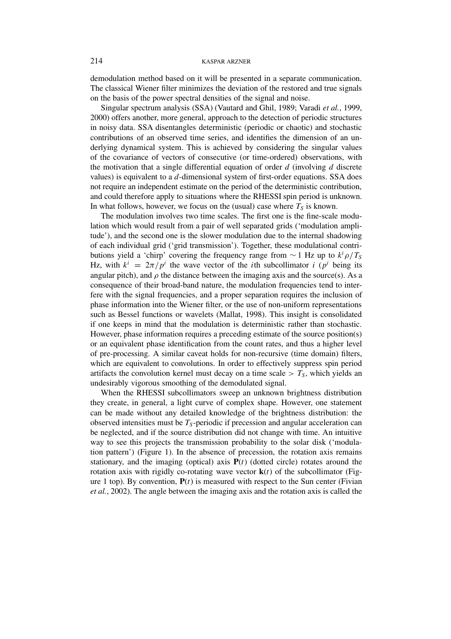#### 214 KASPAR ARZNER

demodulation method based on it will be presented in a separate communication. The classical Wiener filter minimizes the deviation of the restored and true signals on the basis of the power spectral densities of the signal and noise.

Singular spectrum analysis (SSA) (Vautard and Ghil, 1989; Varadi *et al.*, 1999, 2000) offers another, more general, approach to the detection of periodic structures in noisy data. SSA disentangles deterministic (periodic or chaotic) and stochastic contributions of an observed time series, and identifies the dimension of an underlying dynamical system. This is achieved by considering the singular values of the covariance of vectors of consecutive (or time-ordered) observations, with the motivation that a single differential equation of order *d* (involving *d* discrete values) is equivalent to a *d*-dimensional system of first-order equations. SSA does not require an independent estimate on the period of the deterministic contribution, and could therefore apply to situations where the RHESSI spin period is unknown. In what follows, however, we focus on the (usual) case where  $T<sub>S</sub>$  is known.

The modulation involves two time scales. The first one is the fine-scale modulation which would result from a pair of well separated grids ('modulation amplitude'), and the second one is the slower modulation due to the internal shadowing of each individual grid ('grid transmission'). Together, these modulational contributions yield a 'chirp' covering the frequency range from  $\sim 1$  Hz up to  $k^i \rho / T_s$ Hz, with  $k^i = 2\pi/p^i$  the wave vector of the *i*th subcollimator *i* ( $p^i$  being its angular pitch), and  $\rho$  the distance between the imaging axis and the source(s). As a consequence of their broad-band nature, the modulation frequencies tend to interfere with the signal frequencies, and a proper separation requires the inclusion of phase information into the Wiener filter, or the use of non-uniform representations such as Bessel functions or wavelets (Mallat, 1998). This insight is consolidated if one keeps in mind that the modulation is deterministic rather than stochastic. However, phase information requires a preceding estimate of the source position(s) or an equivalent phase identification from the count rates, and thus a higher level of pre-processing. A similar caveat holds for non-recursive (time domain) filters, which are equivalent to convolutions. In order to effectively suppress spin period artifacts the convolution kernel must decay on a time scale  $> T<sub>S</sub>$ , which yields an undesirably vigorous smoothing of the demodulated signal.

When the RHESSI subcollimators sweep an unknown brightness distribution they create, in general, a light curve of complex shape. However, one statement can be made without any detailed knowledge of the brightness distribution: the observed intensities must be  $T_S$ -periodic if precession and angular acceleration can be neglected, and if the source distribution did not change with time. An intuitive way to see this projects the transmission probability to the solar disk ('modulation pattern') (Figure 1). In the absence of precession, the rotation axis remains stationary, and the imaging (optical) axis  $P(t)$  (dotted circle) rotates around the rotation axis with rigidly co-rotating wave vector  $\mathbf{k}(t)$  of the subcollimator (Figure 1 top). By convention,  $P(t)$  is measured with respect to the Sun center (Fivian *et al.*, 2002). The angle between the imaging axis and the rotation axis is called the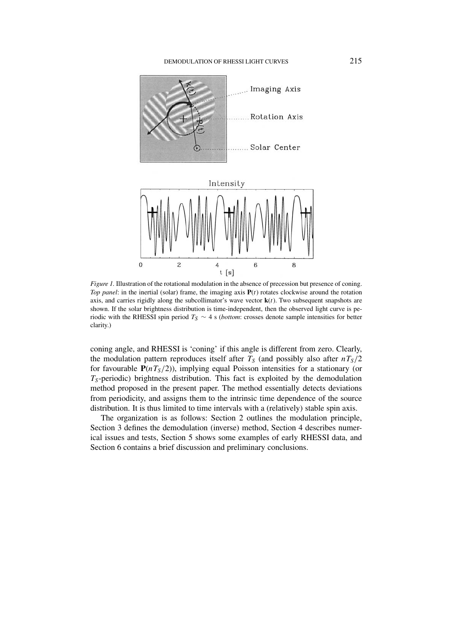



*Figure 1.* Illustration of the rotational modulation in the absence of precession but presence of coning. *Top panel*: in the inertial (solar) frame, the imaging axis **P**(*t*) rotates clockwise around the rotation axis, and carries rigidly along the subcollimator's wave vector  $\mathbf{k}(t)$ . Two subsequent snapshots are shown. If the solar brightness distribution is time-independent, then the observed light curve is periodic with the RHESSI spin period *TS* ∼ 4s(*bottom*: crosses denote sample intensities for better clarity.)

coning angle, and RHESSI is 'coning' if this angle is different from zero. Clearly, the modulation pattern reproduces itself after  $T_S$  (and possibly also after  $nT_S/2$ for favourable  $P(nT<sub>S</sub>/2)$ ), implying equal Poisson intensities for a stationary (or  $T<sub>S</sub>$ -periodic) brightness distribution. This fact is exploited by the demodulation method proposed in the present paper. The method essentially detects deviations from periodicity, and assigns them to the intrinsic time dependence of the source distribution. It is thus limited to time intervals with a (relatively) stable spin axis.

The organization is as follows: Section 2 outlines the modulation principle, Section 3 defines the demodulation (inverse) method, Section 4 describes numerical issues and tests, Section 5 shows some examples of early RHESSI data, and Section 6 contains a brief discussion and preliminary conclusions.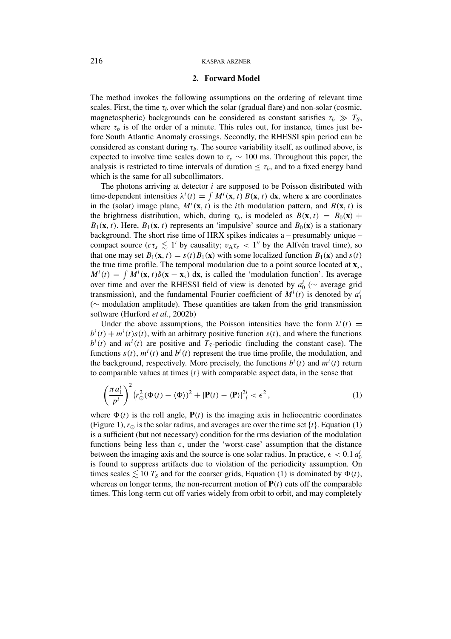# **2. Forward Model**

The method invokes the following assumptions on the ordering of relevant time scales. First, the time  $\tau_b$  over which the solar (gradual flare) and non-solar (cosmic, magnetospheric) backgrounds can be considered as constant satisfies  $\tau_b \gg T_s$ , where  $\tau_b$  is of the order of a minute. This rules out, for instance, times just before South Atlantic Anomaly crossings. Secondly, the RHESSI spin period can be considered as constant during  $\tau_b$ . The source variability itself, as outlined above, is expected to involve time scales down to  $\tau_s \sim 100$  ms. Throughout this paper, the analysis is restricted to time intervals of duration  $\leq \tau_b$ , and to a fixed energy band which is the same for all subcollimators.

The photons arriving at detector *i* are supposed to be Poisson distributed with time-dependent intensities  $\lambda^{i}(t) = \int M^{i}(\mathbf{x}, t) B(\mathbf{x}, t) d\mathbf{x}$ , where **x** are coordinates in the (solar) image plane,  $M^i(\mathbf{x}, t)$  is the *i*th modulation pattern, and  $B(\mathbf{x}, t)$  is the brightness distribution, which, during  $\tau_b$ , is modeled as  $B(\mathbf{x}, t) = B_0(\mathbf{x}) +$  $B_1(\mathbf{x}, t)$ . Here,  $B_1(\mathbf{x}, t)$  represents an 'impulsive' source and  $B_0(\mathbf{x})$  is a stationary background. The short rise time of HRX spikes indicates a – presumably unique – compact source ( $c\tau_s \leq 1'$  by causality;  $v_A\tau_s < 1''$  by the Alfvén travel time), so that one may set  $B_1(\mathbf{x}, t) = s(t)B_1(\mathbf{x})$  with some localized function  $B_1(\mathbf{x})$  and  $s(t)$ the true time profile. The temporal modulation due to a point source located at  $\mathbf{x}_s$ ,  $M^{i}(t) = \int M^{i}(\mathbf{x}, t)\delta(\mathbf{x} - \mathbf{x}_{s}) dx$ , is called the 'modulation function'. Its average over time and over the RHESSI field of view is denoted by  $a_0^i$  ( $\sim$  average grid transmission), and the fundamental Fourier coefficient of  $M^{i}(t)$  is denoted by  $a_1^{i}$ (∼ modulation amplitude). These quantities are taken from the grid transmission software (Hurford *et al.*, 2002b)

Under the above assumptions, the Poisson intensities have the form  $\lambda^{i}(t)$  =  $b^i(t) + m^i(t)s(t)$ , with an arbitrary positive function  $s(t)$ , and where the functions  $b^i(t)$  and  $m^i(t)$  are positive and *T<sub>S</sub>*-periodic (including the constant case). The functions  $s(t)$ ,  $m^{i}(t)$  and  $b^{i}(t)$  represent the true time profile, the modulation, and the background, respectively. More precisely, the functions  $b^{i}(t)$  and  $m^{i}(t)$  return to comparable values at times {*t*} with comparable aspect data, in the sense that

$$
\left(\frac{\pi a_1^i}{p^i}\right)^2 \left\langle r^2_{\odot}(\Phi(t) - \langle \Phi \rangle)^2 + |\mathbf{P}(t) - \langle \mathbf{P} \rangle|^2 \right\rangle < \epsilon^2 \,,\tag{1}
$$

where  $\Phi(t)$  is the roll angle,  $P(t)$  is the imaging axis in heliocentric coordinates (Figure 1),  $r_{\odot}$  is the solar radius, and averages are over the time set {*t*}. Equation (1) is a sufficient (but not necessary) condition for the rms deviation of the modulation functions being less than  $\epsilon$ , under the 'worst-case' assumption that the distance between the imaging axis and the source is one solar radius. In practice,  $\epsilon < 0.1 a_0^i$ is found to suppress artifacts due to violation of the periodicity assumption. On times scales  $\leq 10$  *T<sub>S</sub>* and for the coarser grids, Equation (1) is dominated by  $\Phi(t)$ , whereas on longer terms, the non-recurrent motion of **P***(t)* cuts off the comparable times. This long-term cut off varies widely from orbit to orbit, and may completely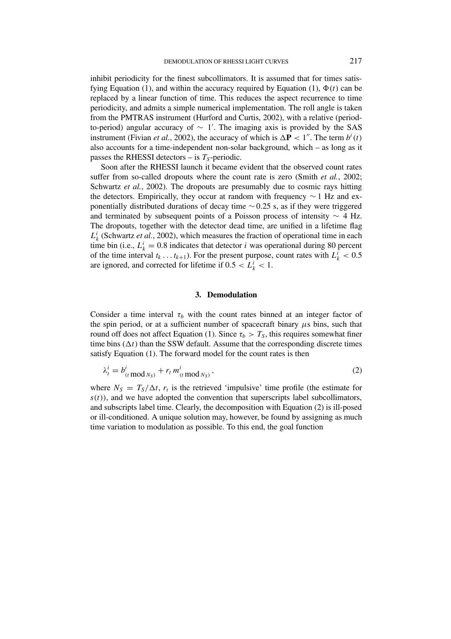inhibit periodicity for the finest subcollimators. It is assumed that for times satisfying Equation (1), and within the accuracy required by Equation (1),  $\Phi(t)$  can be replaced by a linear function of time. This reduces the aspect recurrence to time periodicity, and admits a simple numerical implementation. The roll angle is taken from the PMTRAS instrument (Hurford and Curtis, 2002), with a relative (periodto-period) angular accuracy of  $\sim 1'$ . The imaging axis is provided by the SAS instrument (Fivian *et al.*, 2002), the accuracy of which is  $\Delta P < 1$ <sup>"</sup>. The term  $b^{i}(t)$ also accounts for a time-independent non-solar background, which – as long as it passes the RHESSI detectors  $-$  is  $T<sub>S</sub>$ -periodic.

Soon after the RHESSI launch it became evident that the observed count rates suffer from so-called dropouts where the count rate is zero (Smith *et al.*, 2002; Schwartz *et al.*, 2002). The dropouts are presumably due to cosmic rays hitting the detectors. Empirically, they occur at random with frequency  $\sim$  1 Hz and exponentially distributed durations of decay time  $\sim$  0.25 s, as if they were triggered and terminated by subsequent points of a Poisson process of intensity  $\sim$  4 Hz. The dropouts, together with the detector dead time, are unified in a lifetime flag  $L_k^i$  (Schwartz *et al.*, 2002), which measures the fraction of operational time in each time bin (i.e.,  $L_k^i = 0.8$  indicates that detector *i* was operational during 80 percent of the time interval  $t_k \dots t_{k+1}$ ). For the present purpose, count rates with  $L_k^i < 0.5$ are ignored, and corrected for lifetime if  $0.5 < L_k^i < 1$ .

# **3. Demodulation**

Consider a time interval  $\tau_b$  with the count rates binned at an integer factor of the spin period, or at a sufficient number of spacecraft binary  $\mu$ s bins, such that round off does not affect Equation (1). Since  $\tau_b > T_s$ , this requires somewhat finer time bins  $(\Delta t)$  than the SSW default. Assume that the corresponding discrete times satisfy Equation (1). The forward model for the count rates is then

$$
\lambda_t^i = b_{(t \bmod N_S)}^i + r_t m_{(t \bmod N_S)}^i, \qquad (2)
$$

where  $N_s = T_s/\Delta t$ ,  $r_t$  is the retrieved 'impulsive' time profile (the estimate for  $s(t)$ ), and we have adopted the convention that superscripts label subcollimators, and subscripts label time. Clearly, the decomposition with Equation (2) is ill-posed or ill-conditioned. A unique solution may, however, be found by assigning as much time variation to modulation as possible. To this end, the goal function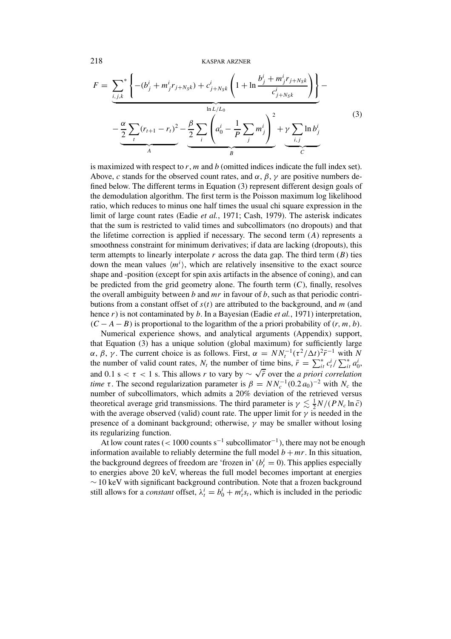218 KASPAR ARZNER

$$
F = \underbrace{\sum_{i,j,k}^{*} \left\{ -(b_j^i + m_j^i r_{j+N_S k}) + c_{j+N_S k}^i \left( 1 + \ln \frac{b_j^i + m_j^i r_{j+N_S k}}{c_{j+N_S k}^i} \right) \right\}}_{-\underbrace{\frac{\alpha}{2} \sum_{t} (r_{t+1} - r_t)^2}_{A} - \underbrace{\frac{\beta}{2} \sum_{i} \left( a_0^i - \frac{1}{P} \sum_{j} m_j^i \right)^2}_{B} + \underbrace{\gamma \sum_{i,j} \ln b_j^i}_{C}
$$
\n(3)

is maximized with respect to *r*, *m* and *b* (omitted indices indicate the full index set). Above, *c* stands for the observed count rates, and  $\alpha$ ,  $\beta$ ,  $\gamma$  are positive numbers defined below. The different terms in Equation (3) represent different design goals of the demodulation algorithm. The first term is the Poisson maximum log likelihood ratio, which reduces to minus one half times the usual chi square expression in the limit of large count rates (Eadie *et al.*, 1971; Cash, 1979). The asterisk indicates that the sum is restricted to valid times and subcollimators (no dropouts) and that the lifetime correction is applied if necessary. The second term (*A*) represents a smoothness constraint for minimum derivatives; if data are lacking (dropouts), this term attempts to linearly interpolate *r* across the data gap. The third term (*B*) ties down the mean values  $\langle m^i \rangle$ , which are relatively insensitive to the exact source shape and -position (except for spin axis artifacts in the absence of coning), and can be predicted from the grid geometry alone. The fourth term (*C*), finally, resolves the overall ambiguity between *b* and *mr* in favour of *b*, such as that periodic contributions from a constant offset of  $s(t)$  are attributed to the background, and m (and hence *r*) is not contaminated by *b*. In a Bayesian (Eadie *et al.*, 1971) interpretation,  $(C - A - B)$  is proportional to the logarithm of the a priori probability of  $(r, m, b)$ .

Numerical experience shows, and analytical arguments (Appendix) support, that Equation (3) has a unique solution (global maximum) for sufficiently large *α*, *β*, *γ*. The current choice is as follows. First,  $\alpha = NN_t^{-1}(\tau^2/\Delta t)^2 \bar{r}^{-1}$  with *N* the number of valid count rates,  $N_t$  the number of time bins,  $\bar{r} = \sum_{i}^{*} c_i^i / \sum_{i}^{*} a_0^i$ , and 0.1 s <  $\tau$  < 1 s. This allows *r* to vary by  $\sim \sqrt{\overline{r}}$  over the *a priori correlation time*  $\tau$ . The second regularization parameter is  $\beta = NN_c^{-1}(0.2 a_0)^{-2}$  with  $N_c$  the number of subcollimators, which admits a 20% deviation of the retrieved versus theoretical average grid transmissions. The third parameter is  $\gamma \lesssim \frac{1}{2}N/(PN_c \ln \bar{c})$ with the average observed (valid) count rate. The upper limit for  $\gamma$  is needed in the presence of a dominant background; otherwise, *γ* may be smaller without losing its regularizing function.

At low count rates  $(< 1000$  counts s<sup>-1</sup> subcollimator<sup>-1</sup>), there may not be enough information available to reliably determine the full model  $b + mr$ . In this situation, the background degrees of freedom are 'frozen in'  $(b_t^i = 0)$ . This applies especially to energies above 20 keV, whereas the full model becomes important at energies ∼ 10 keV with significant background contribution. Note that a frozen background still allows for a *constant* offset,  $\lambda_t^i = b_0^i + m_t^i s_t$ , which is included in the periodic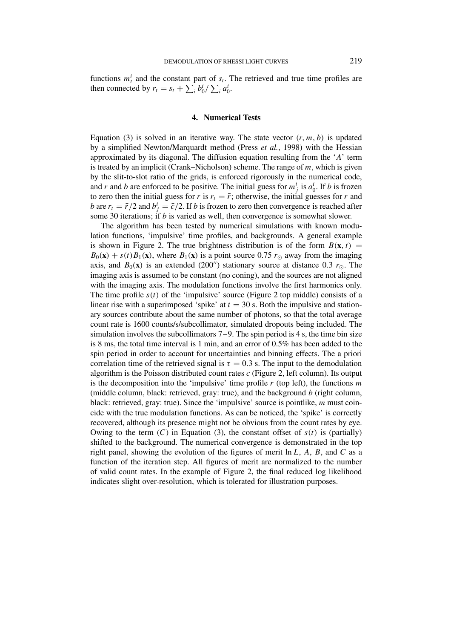functions  $m_t^i$  and the constant part of  $s_t$ . The retrieved and true time profiles are then connected by  $r_t = s_t + \sum_i b_0^i / \sum_i a_0^i$ .

## **4. Numerical Tests**

Equation (3) is solved in an iterative way. The state vector  $(r, m, b)$  is updated by a simplified Newton/Marquardt method (Press *et al.*, 1998) with the Hessian approximated by its diagonal. The diffusion equation resulting from the '*A*' term is treated by an implicit (Crank–Nicholson) scheme. The range of *m*, which is given by the slit-to-slot ratio of the grids, is enforced rigorously in the numerical code, and *r* and *b* are enforced to be positive. The initial guess for  $m_j^i$  is  $a_0^i$ . If *b* is frozen to zero then the initial guess for *r* is  $r_t = \bar{r}$ ; otherwise, the initial guesses for *r* and *b* are  $r_t = \bar{r}/2$  and  $b^i_j = \bar{c}/2$ . If *b* is frozen to zero then convergence is reached after some 30 iterations; if *b* is varied as well, then convergence is somewhat slower.

The algorithm has been tested by numerical simulations with known modulation functions, 'impulsive' time profiles, and backgrounds. A general example is shown in Figure 2. The true brightness distribution is of the form  $B(\mathbf{x}, t) =$  $B_0(\mathbf{x}) + s(t)B_1(\mathbf{x})$ , where  $B_1(\mathbf{x})$  is a point source 0.75  $r_{\odot}$  away from the imaging axis, and  $B_0(\mathbf{x})$  is an extended (200") stationary source at distance 0.3  $r_{\odot}$ . The imaging axis is assumed to be constant (no coning), and the sources are not aligned with the imaging axis. The modulation functions involve the first harmonics only. The time profile  $s(t)$  of the 'impulsive' source (Figure 2 top middle) consists of a linear rise with a superimposed 'spike' at  $t = 30$  s. Both the impulsive and stationary sources contribute about the same number of photons, so that the total average count rate is 1600 counts/s/subcollimator, simulated dropouts being included. The simulation involves the subcollimators  $7-9$ . The spin period is 4 s, the time bin size is 8 ms, the total time interval is 1 min, and an error of 0.5% has been added to the spin period in order to account for uncertainties and binning effects. The a priori correlation time of the retrieved signal is  $\tau = 0.3$  s. The input to the demodulation algorithm is the Poisson distributed count rates *c* (Figure 2, left column). Its output is the decomposition into the 'impulsive' time profile *r* (top left), the functions *m* (middle column, black: retrieved, gray: true), and the background *b* (right column, black: retrieved, gray: true). Since the 'impulsive' source is pointlike, *m* must coincide with the true modulation functions. As can be noticed, the 'spike' is correctly recovered, although its presence might not be obvious from the count rates by eye. Owing to the term  $(C)$  in Equation (3), the constant offset of  $s(t)$  is (partially) shifted to the background. The numerical convergence is demonstrated in the top right panel, showing the evolution of the figures of merit ln *L*, *A*, *B*, and *C* as a function of the iteration step. All figures of merit are normalized to the number of valid count rates. In the example of Figure 2, the final reduced log likelihood indicates slight over-resolution, which is tolerated for illustration purposes.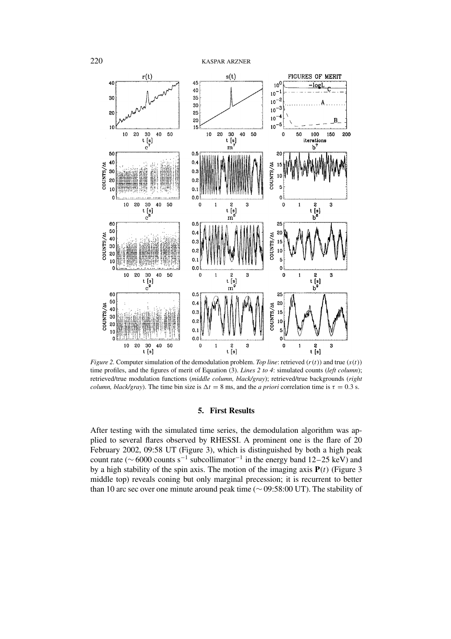

*Figure 2.* Computer simulation of the demodulation problem. *Top line*: retrieved  $(r(t))$  and true  $(s(t))$ time profiles, and the figures of merit of Equation (3). *Lines 2 to 4*: simulated counts (*left column*); retrieved/true modulation functions (*middle column, black/gray*); retrieved/true backgrounds (*right column, black/gray*). The time bin size is  $\Delta t = 8$  ms, and the *a priori* correlation time is  $\tau = 0.3$  s.

# **5. First Results**

After testing with the simulated time series, the demodulation algorithm was applied to several flares observed by RHESSI. A prominent one is the flare of 20 February 2002, 09:58 UT (Figure 3), which is distinguished by both a high peak count rate ( $\sim$  6000 counts s<sup>-1</sup> subcollimator<sup>-1</sup> in the energy band 12–25 keV) and by a high stability of the spin axis. The motion of the imaging axis  $P(t)$  (Figure 3) middle top) reveals coning but only marginal precession; it is recurrent to better than 10 arc sec over one minute around peak time (∼ 09:58:00 UT). The stability of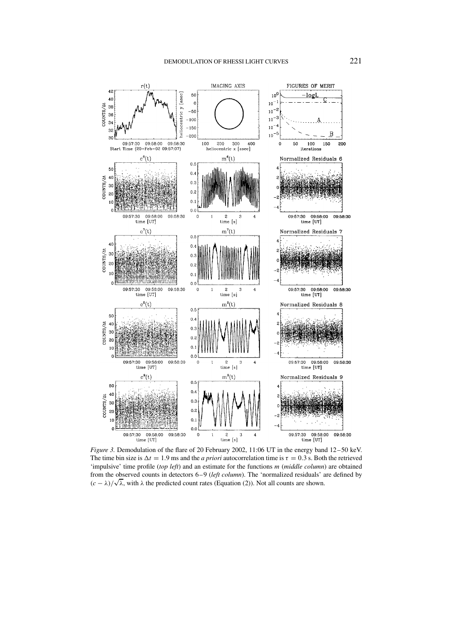### DEMODULATION OF RHESSI LIGHT CURVES 221



*Figure 3.* Demodulation of the flare of 20 February 2002, 11:06 UT in the energy band 12–50 keV. The time bin size is  $\Delta t = 1.9$  ms and the *a priori* autocorrelation time is  $\tau = 0.3$  s. Both the retrieved 'impulsive' time profile (*top left*) and an estimate for the functions *m* (*middle column*) are obtained from the observed counts in detectors 6–9 (*left column*). The 'normalized residuals' are defined by  $(c - \lambda)/\sqrt{\lambda}$ , with  $\lambda$  the predicted count rates (Equation (2)). Not all counts are shown.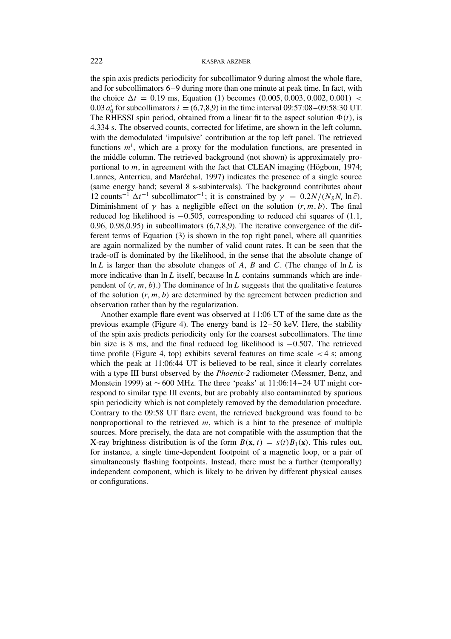the spin axis predicts periodicity for subcollimator 9 during almost the whole flare, and for subcollimators 6–9 during more than one minute at peak time. In fact, with the choice  $\Delta t = 0.19$  ms, Equation (1) becomes (0.005, 0.003, 0.002, 0.001) < 0.03  $a_0^i$  for subcollimators  $i = (6,7,8,9)$  in the time interval 09:57:08–09:58:30 UT. The RHESSI spin period, obtained from a linear fit to the aspect solution  $\Phi(t)$ , is 4*.*334 s. The observed counts, corrected for lifetime, are shown in the left column, with the demodulated 'impulsive' contribution at the top left panel. The retrieved functions  $m^i$ , which are a proxy for the modulation functions, are presented in the middle column. The retrieved background (not shown) is approximately proportional to *m*, in agreement with the fact that CLEAN imaging (Högbom, 1974; Lannes, Anterrieu, and Maréchal, 1997) indicates the presence of a single source (same energy band; several 8 s-subintervals). The background contributes about 12 counts<sup> $-1$ </sup>  $\Delta t^{-1}$  subcollimator<sup>-1</sup>; it is constrained by  $\gamma = 0.2N/(N_S N_c \ln \bar{c})$ . Diminishment of  $\nu$  has a negligible effect on the solution  $(r, m, b)$ . The final reduced log likelihood is −0*.*505, corresponding to reduced chi squares of (1*.*1, 0*.*96, 0*.*98,0*.*95) in subcollimators (6,7,8,9). The iterative convergence of the different terms of Equation (3) is shown in the top right panel, where all quantities are again normalized by the number of valid count rates. It can be seen that the trade-off is dominated by the likelihood, in the sense that the absolute change of ln*L* is larger than the absolute changes of *A*, *B* and *C*. (The change of ln*L* is more indicative than ln*L* itself, because ln*L* contains summands which are independent of  $(r, m, b)$ .) The dominance of  $\ln L$  suggests that the qualitative features of the solution *(r, m, b)* are determined by the agreement between prediction and observation rather than by the regularization.

Another example flare event was observed at 11:06 UT of the same date as the previous example (Figure 4). The energy band is 12–50 keV. Here, the stability of the spin axis predicts periodicity only for the coarsest subcollimators. The time bin size is 8 ms, and the final reduced log likelihood is −0.507. The retrieved time profile (Figure 4, top) exhibits several features on time scale *<* 4 s; among which the peak at 11:06:44 UT is believed to be real, since it clearly correlates with a type III burst observed by the *Phoenix-2* radiometer (Messmer, Benz, and Monstein 1999) at ∼ 600 MHz. The three 'peaks' at 11:06:14–24 UT might correspond to similar type III events, but are probably also contaminated by spurious spin periodicity which is not completely removed by the demodulation procedure. Contrary to the 09:58 UT flare event, the retrieved background was found to be nonproportional to the retrieved *m*, which is a hint to the presence of multiple sources. More precisely, the data are not compatible with the assumption that the X-ray brightness distribution is of the form  $B(\mathbf{x}, t) = s(t)B_1(\mathbf{x})$ . This rules out, for instance, a single time-dependent footpoint of a magnetic loop, or a pair of simultaneously flashing footpoints. Instead, there must be a further (temporally) independent component, which is likely to be driven by different physical causes or configurations.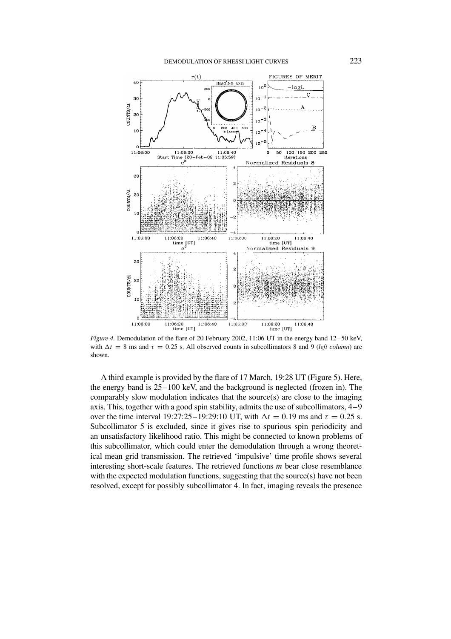

*Figure 4.* Demodulation of the flare of 20 February 2002, 11:06 UT in the energy band 12–50 keV, with  $\Delta t = 8$  ms and  $\tau = 0.25$  s. All observed counts in subcollimators 8 and 9 (*left column*) are shown.

A third example is provided by the flare of 17 March, 19:28 UT (Figure 5). Here, the energy band is 25–100 keV, and the background is neglected (frozen in). The comparably slow modulation indicates that the source(s) are close to the imaging axis. This, together with a good spin stability, admits the use of subcollimators, 4–9 over the time interval 19:27:25–19:29:10 UT, with  $\Delta t = 0.19$  ms and  $\tau = 0.25$  s. Subcollimator 5 is excluded, since it gives rise to spurious spin periodicity and an unsatisfactory likelihood ratio. This might be connected to known problems of this subcollimator, which could enter the demodulation through a wrong theoretical mean grid transmission. The retrieved 'impulsive' time profile shows several interesting short-scale features. The retrieved functions *m* bear close resemblance with the expected modulation functions, suggesting that the source(s) have not been resolved, except for possibly subcollimator 4. In fact, imaging reveals the presence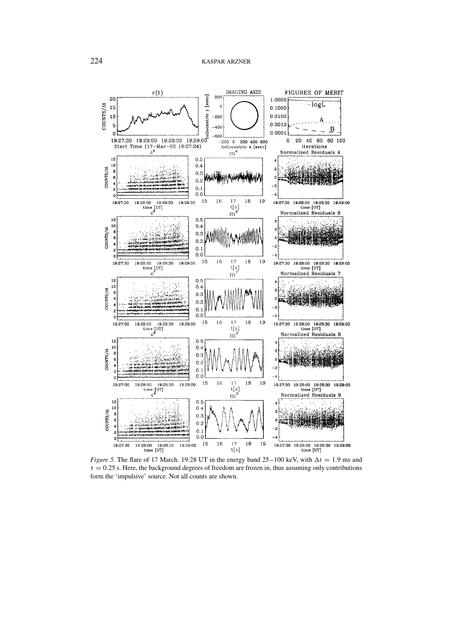

*Figure 5.* The flare of 17 March. 19:28 UT in the energy band  $25-100$  keV, with  $\Delta t = 1.9$  ms and  $\tau = 0.25$  s. Here, the background degrees of freedom are frozen in, thus assuming only contributions form the 'impulsive' source. Not all counts are shown.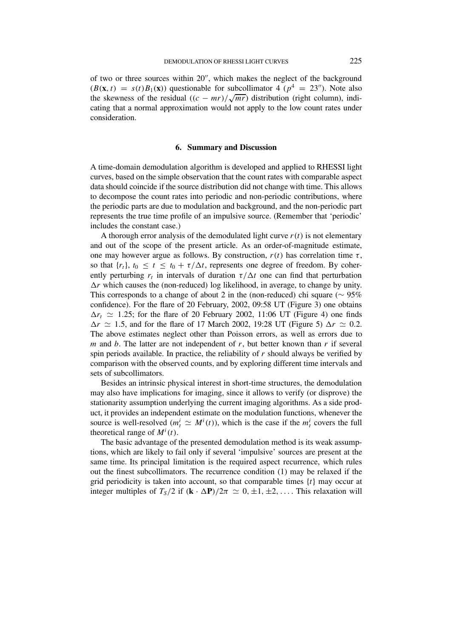of two or three sources within  $20''$ , which makes the neglect of the background  $(B(\mathbf{x}, t) = s(t)B_1(\mathbf{x}))$  questionable for subcollimator 4 ( $p^4 = 23$ ). Note also the skewness of the residual  $((c - mr)/\sqrt{mr})$  distribution (right column), indicating that a normal approximation would not apply to the low count rates under consideration.

# **6. Summary and Discussion**

A time-domain demodulation algorithm is developed and applied to RHESSI light curves, based on the simple observation that the count rates with comparable aspect data should coincide if the source distribution did not change with time. This allows to decompose the count rates into periodic and non-periodic contributions, where the periodic parts are due to modulation and background, and the non-periodic part represents the true time profile of an impulsive source. (Remember that 'periodic' includes the constant case.)

A thorough error analysis of the demodulated light curve  $r(t)$  is not elementary and out of the scope of the present article. As an order-of-magnitude estimate, one may however argue as follows. By construction,  $r(t)$  has correlation time  $\tau$ , so that  ${r_t}$ ,  $t_0 \le t \le t_0 + \tau/\Delta t$ , represents one degree of freedom. By coherently perturbing  $r_t$  in intervals of duration  $\tau/\Delta t$  one can find that perturbation  $\Delta r$  which causes the (non-reduced) log likelihood, in average, to change by unity. This corresponds to a change of about 2 in the (non-reduced) chi square ( $\sim$  95% confidence). For the flare of 20 February, 2002, 09:58 UT (Figure 3) one obtains  $\Delta r_t \simeq 1.25$ ; for the flare of 20 February 2002, 11:06 UT (Figure 4) one finds  $\Delta r \simeq 1.5$ , and for the flare of 17 March 2002, 19:28 UT (Figure 5)  $\Delta r \simeq 0.2$ . The above estimates neglect other than Poisson errors, as well as errors due to *m* and *b*. The latter are not independent of *r*, but better known than *r* if several spin periods available. In practice, the reliability of *r* should always be verified by comparison with the observed counts, and by exploring different time intervals and sets of subcollimators.

Besides an intrinsic physical interest in short-time structures, the demodulation may also have implications for imaging, since it allows to verify (or disprove) the stationarity assumption underlying the current imaging algorithms. As a side product, it provides an independent estimate on the modulation functions, whenever the source is well-resolved  $(m_t^i \simeq M^i(t))$ , which is the case if the  $m_t^i$  covers the full theoretical range of  $M^{i}(t)$ .

The basic advantage of the presented demodulation method is its weak assumptions, which are likely to fail only if several 'impulsive' sources are present at the same time. Its principal limitation is the required aspect recurrence, which rules out the finest subcollimators. The recurrence condition (1) may be relaxed if the grid periodicity is taken into account, so that comparable times {*t*} may occur at integer multiples of  $T_S/2$  if  $(\mathbf{k} \cdot \Delta \mathbf{P})/2\pi \simeq 0, \pm 1, \pm 2, \ldots$ . This relaxation will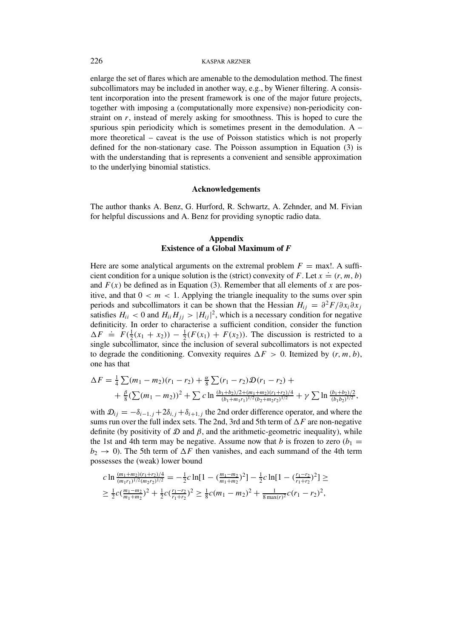### 226 KASPAR ARZNER

enlarge the set of flares which are amenable to the demodulation method. The finest subcollimators may be included in another way, e.g., by Wiener filtering. A consistent incorporation into the present framework is one of the major future projects, together with imposing a (computationally more expensive) non-periodicity constraint on *r*, instead of merely asking for smoothness. This is hoped to cure the spurious spin periodicity which is sometimes present in the demodulation.  $A$ more theoretical – caveat is the use of Poisson statistics which is not properly defined for the non-stationary case. The Poisson assumption in Equation (3) is with the understanding that is represents a convenient and sensible approximation to the underlying binomial statistics.

# **Acknowledgements**

The author thanks A. Benz, G. Hurford, R. Schwartz, A. Zehnder, and M. Fivian for helpful discussions and A. Benz for providing synoptic radio data.

# **Appendix Existence of a Global Maximum of** *F*

Here are some analytical arguments on the extremal problem  $F = \text{max}$ . A sufficient condition for a unique solution is the (strict) convexity of *F*. Let  $x = (r, m, b)$ and  $F(x)$  be defined as in Equation (3). Remember that all elements of x are positive, and that  $0 < m < 1$ . Applying the triangle inequality to the sums over spin periods and subcollimators it can be shown that the Hessian  $H_{ij} = \frac{\partial^2 F}{\partial x_i \partial x_j}$ satisfies  $H_{ii} < 0$  and  $H_{ii} H_{jj} > |H_{ij}|^2$ , which is a necessary condition for negative definiticity. In order to characterise a sufficient condition, consider the function  $\Delta F \doteq F(\frac{1}{2}(x_1 + x_2)) - \frac{1}{2}(F(x_1) + F(x_2))$ . The discussion is restricted to a single subcollimator, since the inclusion of several subcollimators is not expected to degrade the conditioning. Convexity requires  $\Delta F > 0$ . Itemized by  $(r, m, b)$ , one has that

$$
\Delta F = \frac{1}{4} \sum (m_1 - m_2)(r_1 - r_2) + \frac{\alpha}{8} \sum (r_1 - r_2) \mathcal{D}(r_1 - r_2) +
$$
  
+  $\frac{\beta}{8} (\sum (m_1 - m_2))^2 + \sum c \ln \frac{(b_1 + b_2)/2 + (m_1 + m_2)(r_1 + r_2)/4}{(b_1 + m_1 r_1)^{1/2} (b_2 + m_2 r_2)^{1/2}} + \gamma \sum \ln \frac{(b_1 + b_2)/2}{(b_1 b_2)^{1/2}},$ 

with  $\mathcal{D}_{ij} = -\delta_{i-1,j} + 2\delta_{i,j} + \delta_{i+1,j}$  the 2nd order difference operator, and where the sums run over the full index sets. The 2nd, 3rd and 5th term of  $\Delta F$  are non-negative definite (by positivity of  $D$  and  $\beta$ , and the arithmetic-geometric inequality), while the 1st and 4th term may be negative. Assume now that *b* is frozen to zero ( $b_1 =$  $b_2 \rightarrow 0$ ). The 5th term of  $\Delta F$  then vanishes, and each summand of the 4th term possesses the (weak) lower bound

$$
c \ln \frac{(m_1+m_2)(r_1+r_2)/4}{(m_1r_1)^{1/2}(m_2r_2)^{1/2}} = -\frac{1}{2}c \ln[1 - (\frac{m_1-m_2}{m_1+m_2})^2] - \frac{1}{2}c \ln[1 - (\frac{r_1-r_2}{r_1+r_2})^2] \ge
$$
  

$$
\geq \frac{1}{2}c(\frac{m_1-m_2}{m_1+m_2})^2 + \frac{1}{2}c(\frac{r_1-r_2}{r_1+r_2})^2 \geq \frac{1}{8}c(m_1-m_2)^2 + \frac{1}{8\max(r)^2}c(r_1-r_2)^2,
$$